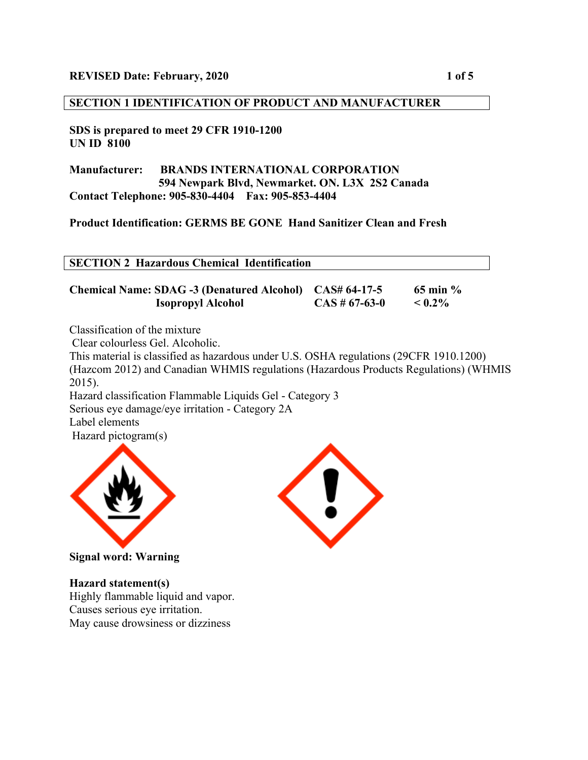### **SECTION 1 IDENTIFICATION OF PRODUCT AND MANUFACTURER**

#### **SDS is prepared to meet 29 CFR 1910-1200 UN ID 8100**

**Manufacturer: BRANDS INTERNATIONAL CORPORATION 594 Newpark Blvd, Newmarket. ON. L3X 2S2 Canada Contact Telephone: 905-830-4404 Fax: 905-853-4404**

**Product Identification: GERMS BE GONE Hand Sanitizer Clean and Fresh**

|--|

**Chemical Name: SDAG -3 (Denatured Alcohol) CAS# 64-17-5 65 min % Isopropyl Alcohol CAS # 67-63-0 < 0.2%**

Classification of the mixture

Clear colourless Gel. Alcoholic.

This material is classified as hazardous under U.S. OSHA regulations (29CFR 1910.1200) (Hazcom 2012) and Canadian WHMIS regulations (Hazardous Products Regulations) (WHMIS 2015). Hazard classification Flammable Liquids Gel - Category 3

Serious eye damage/eye irritation - Category 2A

Label elements

Hazard pictogram(s)



**Signal word: Warning**

# **Hazard statement(s)**

Highly flammable liquid and vapor. Causes serious eye irritation. May cause drowsiness or dizziness

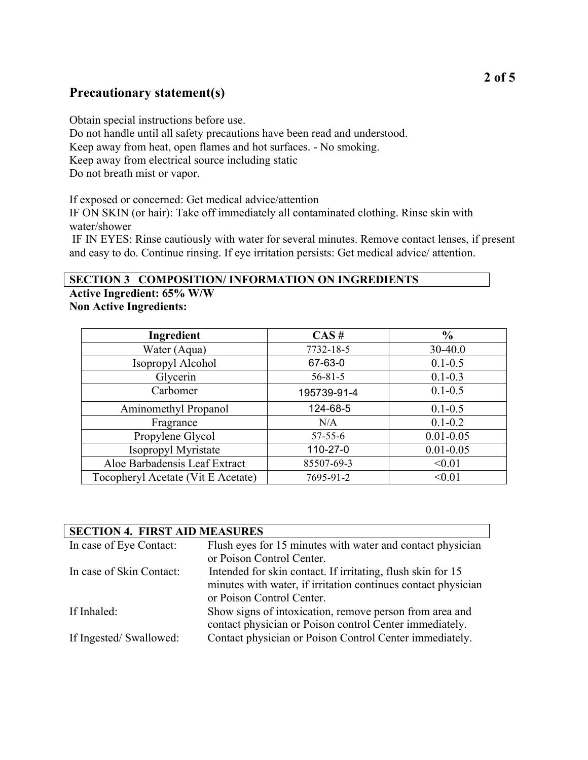# **Precautionary statement(s)**

Obtain special instructions before use. Do not handle until all safety precautions have been read and understood. Keep away from heat, open flames and hot surfaces. - No smoking. Keep away from electrical source including static Do not breath mist or vapor.

If exposed or concerned: Get medical advice/attention IF ON SKIN (or hair): Take off immediately all contaminated clothing. Rinse skin with water/shower

IF IN EYES: Rinse cautiously with water for several minutes. Remove contact lenses, if present and easy to do. Continue rinsing. If eye irritation persists: Get medical advice/ attention.

### **SECTION 3 COMPOSITION/ INFORMATION ON INGREDIENTS**

**Active Ingredient: 65% W/W Non Active Ingredients:**

| Ingredient                         | CAS#          | $\frac{6}{9}$ |
|------------------------------------|---------------|---------------|
| Water (Aqua)                       | 7732-18-5     | 30-40.0       |
| Isopropyl Alcohol                  | 67-63-0       | $0.1 - 0.5$   |
| Glycerin                           | $56 - 81 - 5$ | $0.1 - 0.3$   |
| Carbomer                           | 195739-91-4   | $0.1 - 0.5$   |
| Aminomethyl Propanol               | 124-68-5      | $0.1 - 0.5$   |
| Fragrance                          | N/A           | $0.1 - 0.2$   |
| Propylene Glycol                   | $57 - 55 - 6$ | $0.01 - 0.05$ |
| Isopropyl Myristate                | 110-27-0      | $0.01 - 0.05$ |
| Aloe Barbadensis Leaf Extract      | 85507-69-3    | < 0.01        |
| Tocopheryl Acetate (Vit E Acetate) | 7695-91-2     | < 0.01        |

| <b>SECTION 4. FIRST AID MEASURES</b> |                                                               |  |
|--------------------------------------|---------------------------------------------------------------|--|
| In case of Eye Contact:              | Flush eyes for 15 minutes with water and contact physician    |  |
|                                      | or Poison Control Center.                                     |  |
| In case of Skin Contact:             | Intended for skin contact. If irritating, flush skin for 15   |  |
|                                      | minutes with water, if irritation continues contact physician |  |
|                                      | or Poison Control Center.                                     |  |
| If Inhaled:                          | Show signs of intoxication, remove person from area and       |  |
|                                      | contact physician or Poison control Center immediately.       |  |
| If Ingested/Swallowed:               | Contact physician or Poison Control Center immediately.       |  |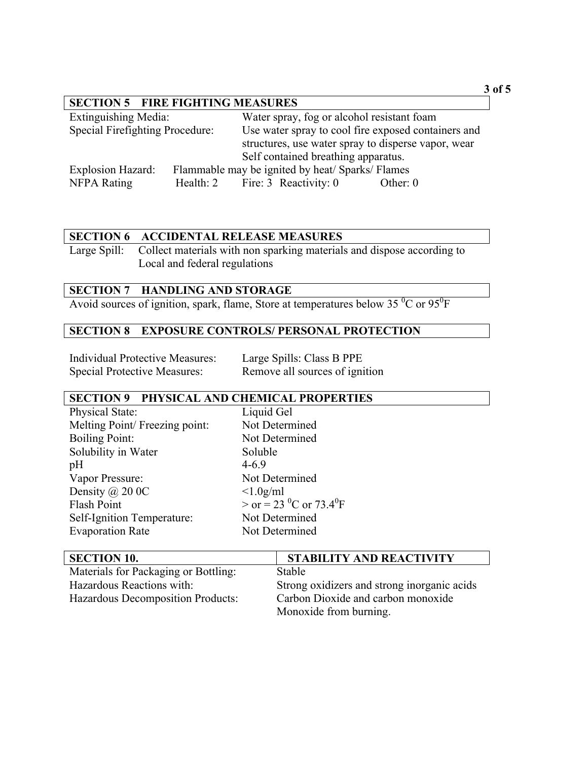# **SECTION 5 FIRE FIGHTING MEASURES**

| <b>Extinguishing Media:</b>     | Water spray, fog or alcohol resistant foam          |            |
|---------------------------------|-----------------------------------------------------|------------|
| Special Firefighting Procedure: | Use water spray to cool fire exposed containers and |            |
|                                 | structures, use water spray to disperse vapor, wear |            |
|                                 | Self contained breathing apparatus.                 |            |
| Explosion Hazard:               | Flammable may be ignited by heat/Sparks/Flames      |            |
| <b>NFPA</b> Rating              | Health: 2 Fire: 3 Reactivity: 0                     | Other: $0$ |

### **SECTION 6 ACCIDENTAL RELEASE MEASURES**

Large Spill: Collect materials with non sparking materials and dispose according to Local and federal regulations

## **SECTION 7 HANDLING AND STORAGE**

Avoid sources of ignition, spark, flame, Store at temperatures below 35  $\mathrm{^{0}C}$  or 95 $\mathrm{^{0}F}$ 

# **SECTION 8 EXPOSURE CONTROLS/ PERSONAL PROTECTION**

| Individual Protective Measures:     | Large Spills: Class B PPE      |
|-------------------------------------|--------------------------------|
| <b>Special Protective Measures:</b> | Remove all sources of ignition |

## **SECTION 9 PHYSICAL AND CHEMICAL PROPERTIES**

| Physical State:                | Liquid Gel                      |
|--------------------------------|---------------------------------|
| Melting Point/ Freezing point: | Not Determined                  |
| <b>Boiling Point:</b>          | Not Determined                  |
| Solubility in Water            | Soluble                         |
| pH                             | $4 - 6.9$                       |
| Vapor Pressure:                | Not Determined                  |
| Density $\omega$ 20 0C         | $<1.0$ g/ml                     |
| Flash Point                    | $>$ or = 23 <sup>0</sup> C or ' |
| Self-Ignition Temperature:     | Not Determined                  |
| <b>Evaporation Rate</b>        | Not Determined                  |
|                                |                                 |

| Liquid Gel                                        |
|---------------------------------------------------|
| Not Determined                                    |
| Not Determined                                    |
| Soluble                                           |
| $4 - 6.9$                                         |
| Not Determined                                    |
| $<1.0$ g/ml                                       |
| $>$ or = 23 <sup>0</sup> C or 73.4 <sup>0</sup> F |
| Not Determined                                    |
| Not Determined                                    |
|                                                   |

| <b>SECTION 10.</b>                   | <b>STABILITY AND REACTIVITY</b>             |
|--------------------------------------|---------------------------------------------|
| Materials for Packaging or Bottling: | Stable                                      |
| Hazardous Reactions with:            | Strong oxidizers and strong inorganic acids |
| Hazardous Decomposition Products:    | Carbon Dioxide and carbon monoxide          |
|                                      | Monoxide from burning.                      |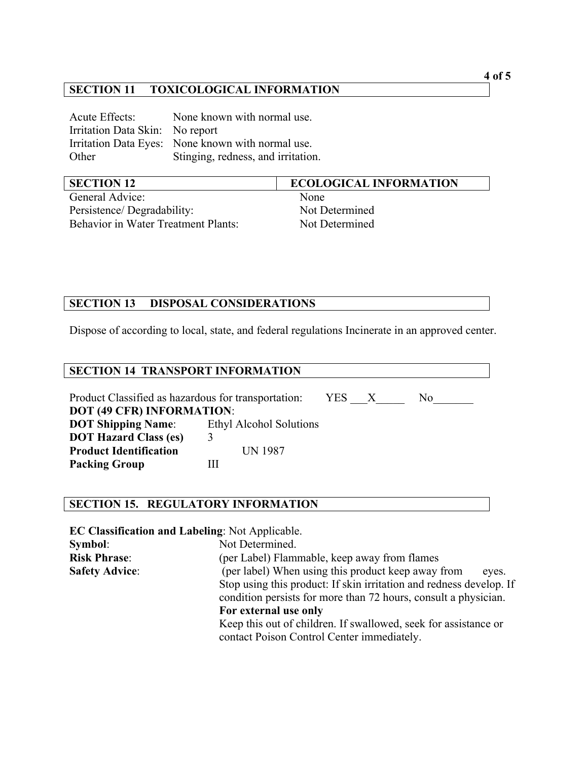### **SECTION 11 TOXICOLOGICAL INFORMATION**

Acute Effects: None known with normal use. Irritation Data Skin: No report Irritation Data Eyes: None known with normal use. Other Stinging, redness, and irritation.

| <b>SECTION 12</b>                          | <b>ECOLOGICAL INFORMATION</b> |
|--------------------------------------------|-------------------------------|
| General Advice:                            | None                          |
| Persistence/Degradability:                 | Not Determined                |
| <b>Behavior in Water Treatment Plants:</b> | Not Determined                |

## **SECTION 13 DISPOSAL CONSIDERATIONS**

Dispose of according to local, state, and federal regulations Incinerate in an approved center.

#### **SECTION 14 TRANSPORT INFORMATION**

Product Classified as hazardous for transportation: YES \_\_\_X \_\_\_\_\_ No\_\_\_\_\_\_\_ **DOT (49 CFR) INFORMATION**: **DOT Shipping Name**: Ethyl Alcohol Solutions **DOT Hazard Class (es)** 3 **Product Identification** UN 1987 **Packing Group III** 

### **SECTION 15. REGULATORY INFORMATION**

**EC Classification and Labeling**: Not Applicable. **Symbol**: Not Determined. **Risk Phrase**: (per Label) Flammable, keep away from flames **Safety Advice:** (per label) When using this product keep away from eyes. Stop using this product: If skin irritation and redness develop. If condition persists for more than 72 hours, consult a physician. **For external use only** Keep this out of children. If swallowed, seek for assistance or contact Poison Control Center immediately.